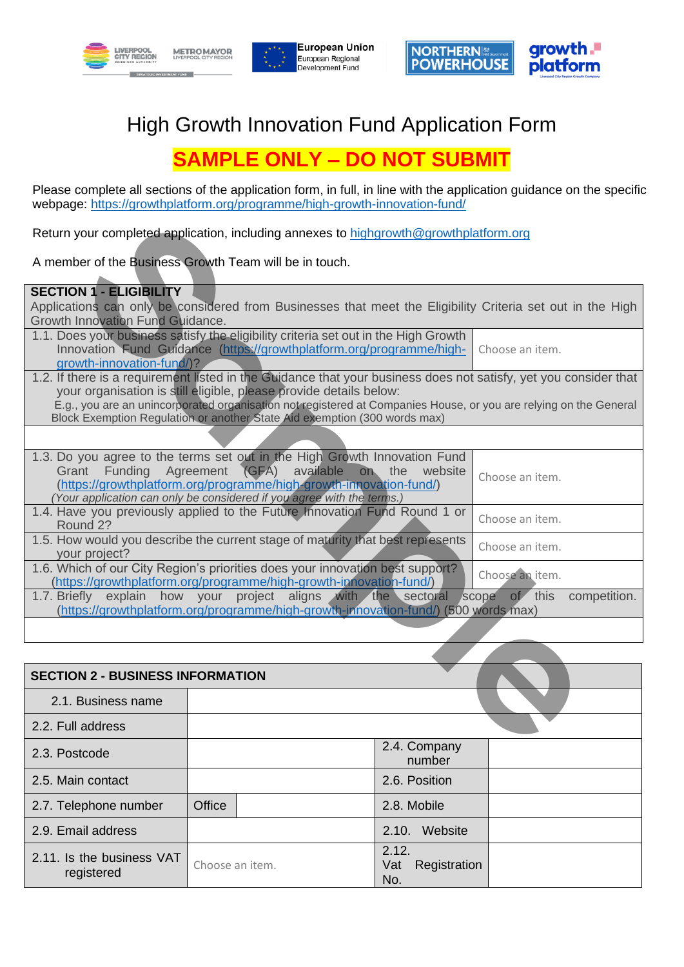





## High Growth Innovation Fund Application Form

## **SAMPLE ONLY – DO NOT SUBMIT**

Please complete all sections of the application form, in full, in line with the application guidance on the specific webpage:<https://growthplatform.org/programme/high-growth-innovation-fund/>

|                                         | Return your completed application, including annexes to highgrowth@growthplatform.org                                                                                                          |                                  |
|-----------------------------------------|------------------------------------------------------------------------------------------------------------------------------------------------------------------------------------------------|----------------------------------|
|                                         | A member of the Business Growth Team will be in touch.                                                                                                                                         |                                  |
| <b>SECTION 1 - ELIGIBILITY</b>          |                                                                                                                                                                                                |                                  |
|                                         | Applications can only be considered from Businesses that meet the Eligibility Criteria set out in the High                                                                                     |                                  |
| Growth Innovation Fund Guidance.        |                                                                                                                                                                                                |                                  |
|                                         | 1.1. Does your business satisfy the eligibility criteria set out in the High Growth                                                                                                            |                                  |
|                                         | Innovation Fund Guidance (https://growthplatform.org/programme/high-                                                                                                                           | Choose an item.                  |
| growth-innovation-fund/)?               |                                                                                                                                                                                                |                                  |
|                                         | 1.2. If there is a requirement listed in the Guidance that your business does not satisfy, yet you consider that                                                                               |                                  |
|                                         | your organisation is still eligible, please provide details below:                                                                                                                             |                                  |
|                                         | E.g., you are an unincorporated organisation not registered at Companies House, or you are relying on the General<br>Block Exemption Regulation or another State Aid exemption (300 words max) |                                  |
|                                         |                                                                                                                                                                                                |                                  |
|                                         |                                                                                                                                                                                                |                                  |
|                                         | 1.3. Do you agree to the terms set out in the High Growth Innovation Fund                                                                                                                      |                                  |
| Grant                                   | Funding Agreement (GFA) available<br>on the website                                                                                                                                            | Choose an item.                  |
|                                         | (https://growthplatform.org/programme/high-growth-innovation-fund/)                                                                                                                            |                                  |
|                                         | (Your application can only be considered if you agree with the terms.)                                                                                                                         |                                  |
|                                         | 1.4. Have you previously applied to the Future Innovation Fund Round 1 or                                                                                                                      | Choose an item.                  |
| Round 2?                                |                                                                                                                                                                                                |                                  |
| your project?                           | 1.5. How would you describe the current stage of maturity that best represents                                                                                                                 | Choose an item.                  |
|                                         | 1.6. Which of our City Region's priorities does your innovation best support?                                                                                                                  |                                  |
|                                         | (https://growthplatform.org/programme/high-growth-innovation-fund/)                                                                                                                            | Choose an item.                  |
|                                         | 1.7. Briefly explain how your project aligns with the sectoral                                                                                                                                 | scope<br>of this<br>competition. |
|                                         | (https://growthplatform.org/programme/high-growth-innovation-fund/) (500 words max)                                                                                                            |                                  |
|                                         |                                                                                                                                                                                                |                                  |
|                                         |                                                                                                                                                                                                |                                  |
| <b>SECTION 2 - BUSINESS INFORMATION</b> |                                                                                                                                                                                                |                                  |
| 2.1. Business name                      |                                                                                                                                                                                                |                                  |
| 2.2. Full address                       |                                                                                                                                                                                                |                                  |
|                                         | 2.4. Company                                                                                                                                                                                   |                                  |

| <b>SECTION 2 - BUSINESS INFORMATION</b> |                        |  |                                     |  |
|-----------------------------------------|------------------------|--|-------------------------------------|--|
| 2.1. Business name                      |                        |  |                                     |  |
| 2.2. Full address                       |                        |  |                                     |  |
| 2.3. Postcode                           | 2.4. Company<br>number |  |                                     |  |
| 2.5. Main contact                       |                        |  | 2.6. Position                       |  |
| 2.7. Telephone number                   | Office                 |  | 2.8. Mobile                         |  |
| 2.9. Email address                      |                        |  | 2.10. Website                       |  |
| 2.11. Is the business VAT<br>registered | Choose an item.        |  | 2.12.<br>Registration<br>Vat<br>No. |  |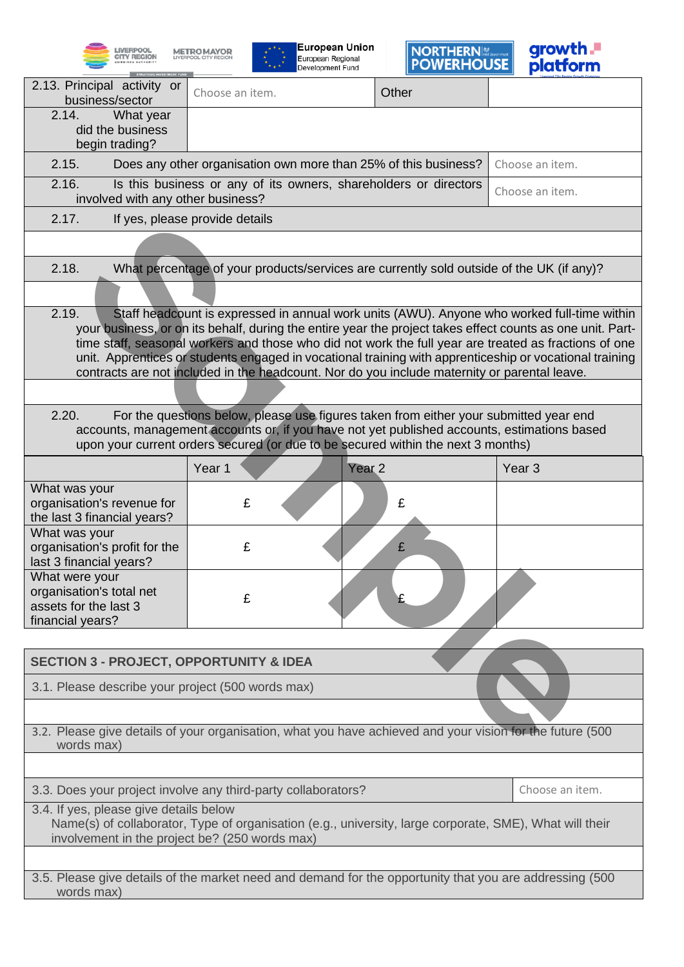







| 2.13. Principal activity or<br>Other<br>Choose an item.<br>business/sector<br>2.14.<br>What year<br>did the business<br>begin trading?<br>2.15.<br>Choose an item.<br>Does any other organisation own more than 25% of this business?<br>2.16.<br>Is this business or any of its owners, shareholders or directors<br>Choose an item.<br>involved with any other business?<br>2.17.<br>If yes, please provide details<br>2.18.<br>What percentage of your products/services are currently sold outside of the UK (if any)?<br>2.19.<br>Staff headcount is expressed in annual work units (AWU). Anyone who worked full-time within<br>your business, or on its behalf, during the entire year the project takes effect counts as one unit. Part-<br>time staff, seasonal workers and those who did not work the full year are treated as fractions of one<br>unit. Apprentices or students engaged in vocational training with apprenticeship or vocational training<br>contracts are not included in the headcount. Nor do you include maternity or parental leave.<br>For the questions below, please use figures taken from either your submitted year end<br>2.20.<br>accounts, management accounts or, if you have not yet published accounts, estimations based<br>upon your current orders secured (or due to be secured within the next 3 months)<br>Year 1<br>Year <sub>2</sub><br>Year <sub>3</sub><br>What was your<br>£<br>organisation's revenue for<br>£<br>the last 3 financial years?<br>What was your<br>£<br>organisation's profit for the<br>£<br>last 3 financial years?<br>What were your<br>organisation's total net<br>£<br>assets for the last 3<br>financial years?<br><b>SECTION 3 - PROJECT, OPPORTUNITY &amp; IDEA</b><br>3.1. Please describe your project (500 words max)<br>3.2. Please give details of your organisation, what you have achieved and your vision for the future (500<br>words max)<br>3.3. Does your project involve any third-party collaborators?<br>Choose an item.<br>3.4. If yes, please give details below<br>Name(s) of collaborator, Type of organisation (e.g., university, large corporate, SME), What will their<br>involvement in the project be? (250 words max)<br>3.5. Please give details of the market need and demand for the opportunity that you are addressing (500<br>words max) |  |  |  |  |  |
|--------------------------------------------------------------------------------------------------------------------------------------------------------------------------------------------------------------------------------------------------------------------------------------------------------------------------------------------------------------------------------------------------------------------------------------------------------------------------------------------------------------------------------------------------------------------------------------------------------------------------------------------------------------------------------------------------------------------------------------------------------------------------------------------------------------------------------------------------------------------------------------------------------------------------------------------------------------------------------------------------------------------------------------------------------------------------------------------------------------------------------------------------------------------------------------------------------------------------------------------------------------------------------------------------------------------------------------------------------------------------------------------------------------------------------------------------------------------------------------------------------------------------------------------------------------------------------------------------------------------------------------------------------------------------------------------------------------------------------------------------------------------------------------------------------------------------------------------------------------------------------------------------------------------------------------------------------------------------------------------------------------------------------------------------------------------------------------------------------------------------------------------------------------------------------------------------------------------------------------------------------------------------------------------------------------------------------------------------------|--|--|--|--|--|
|                                                                                                                                                                                                                                                                                                                                                                                                                                                                                                                                                                                                                                                                                                                                                                                                                                                                                                                                                                                                                                                                                                                                                                                                                                                                                                                                                                                                                                                                                                                                                                                                                                                                                                                                                                                                                                                                                                                                                                                                                                                                                                                                                                                                                                                                                                                                                        |  |  |  |  |  |
|                                                                                                                                                                                                                                                                                                                                                                                                                                                                                                                                                                                                                                                                                                                                                                                                                                                                                                                                                                                                                                                                                                                                                                                                                                                                                                                                                                                                                                                                                                                                                                                                                                                                                                                                                                                                                                                                                                                                                                                                                                                                                                                                                                                                                                                                                                                                                        |  |  |  |  |  |
|                                                                                                                                                                                                                                                                                                                                                                                                                                                                                                                                                                                                                                                                                                                                                                                                                                                                                                                                                                                                                                                                                                                                                                                                                                                                                                                                                                                                                                                                                                                                                                                                                                                                                                                                                                                                                                                                                                                                                                                                                                                                                                                                                                                                                                                                                                                                                        |  |  |  |  |  |
|                                                                                                                                                                                                                                                                                                                                                                                                                                                                                                                                                                                                                                                                                                                                                                                                                                                                                                                                                                                                                                                                                                                                                                                                                                                                                                                                                                                                                                                                                                                                                                                                                                                                                                                                                                                                                                                                                                                                                                                                                                                                                                                                                                                                                                                                                                                                                        |  |  |  |  |  |
|                                                                                                                                                                                                                                                                                                                                                                                                                                                                                                                                                                                                                                                                                                                                                                                                                                                                                                                                                                                                                                                                                                                                                                                                                                                                                                                                                                                                                                                                                                                                                                                                                                                                                                                                                                                                                                                                                                                                                                                                                                                                                                                                                                                                                                                                                                                                                        |  |  |  |  |  |
|                                                                                                                                                                                                                                                                                                                                                                                                                                                                                                                                                                                                                                                                                                                                                                                                                                                                                                                                                                                                                                                                                                                                                                                                                                                                                                                                                                                                                                                                                                                                                                                                                                                                                                                                                                                                                                                                                                                                                                                                                                                                                                                                                                                                                                                                                                                                                        |  |  |  |  |  |
|                                                                                                                                                                                                                                                                                                                                                                                                                                                                                                                                                                                                                                                                                                                                                                                                                                                                                                                                                                                                                                                                                                                                                                                                                                                                                                                                                                                                                                                                                                                                                                                                                                                                                                                                                                                                                                                                                                                                                                                                                                                                                                                                                                                                                                                                                                                                                        |  |  |  |  |  |
|                                                                                                                                                                                                                                                                                                                                                                                                                                                                                                                                                                                                                                                                                                                                                                                                                                                                                                                                                                                                                                                                                                                                                                                                                                                                                                                                                                                                                                                                                                                                                                                                                                                                                                                                                                                                                                                                                                                                                                                                                                                                                                                                                                                                                                                                                                                                                        |  |  |  |  |  |
|                                                                                                                                                                                                                                                                                                                                                                                                                                                                                                                                                                                                                                                                                                                                                                                                                                                                                                                                                                                                                                                                                                                                                                                                                                                                                                                                                                                                                                                                                                                                                                                                                                                                                                                                                                                                                                                                                                                                                                                                                                                                                                                                                                                                                                                                                                                                                        |  |  |  |  |  |
|                                                                                                                                                                                                                                                                                                                                                                                                                                                                                                                                                                                                                                                                                                                                                                                                                                                                                                                                                                                                                                                                                                                                                                                                                                                                                                                                                                                                                                                                                                                                                                                                                                                                                                                                                                                                                                                                                                                                                                                                                                                                                                                                                                                                                                                                                                                                                        |  |  |  |  |  |
|                                                                                                                                                                                                                                                                                                                                                                                                                                                                                                                                                                                                                                                                                                                                                                                                                                                                                                                                                                                                                                                                                                                                                                                                                                                                                                                                                                                                                                                                                                                                                                                                                                                                                                                                                                                                                                                                                                                                                                                                                                                                                                                                                                                                                                                                                                                                                        |  |  |  |  |  |
|                                                                                                                                                                                                                                                                                                                                                                                                                                                                                                                                                                                                                                                                                                                                                                                                                                                                                                                                                                                                                                                                                                                                                                                                                                                                                                                                                                                                                                                                                                                                                                                                                                                                                                                                                                                                                                                                                                                                                                                                                                                                                                                                                                                                                                                                                                                                                        |  |  |  |  |  |
|                                                                                                                                                                                                                                                                                                                                                                                                                                                                                                                                                                                                                                                                                                                                                                                                                                                                                                                                                                                                                                                                                                                                                                                                                                                                                                                                                                                                                                                                                                                                                                                                                                                                                                                                                                                                                                                                                                                                                                                                                                                                                                                                                                                                                                                                                                                                                        |  |  |  |  |  |
|                                                                                                                                                                                                                                                                                                                                                                                                                                                                                                                                                                                                                                                                                                                                                                                                                                                                                                                                                                                                                                                                                                                                                                                                                                                                                                                                                                                                                                                                                                                                                                                                                                                                                                                                                                                                                                                                                                                                                                                                                                                                                                                                                                                                                                                                                                                                                        |  |  |  |  |  |
|                                                                                                                                                                                                                                                                                                                                                                                                                                                                                                                                                                                                                                                                                                                                                                                                                                                                                                                                                                                                                                                                                                                                                                                                                                                                                                                                                                                                                                                                                                                                                                                                                                                                                                                                                                                                                                                                                                                                                                                                                                                                                                                                                                                                                                                                                                                                                        |  |  |  |  |  |
|                                                                                                                                                                                                                                                                                                                                                                                                                                                                                                                                                                                                                                                                                                                                                                                                                                                                                                                                                                                                                                                                                                                                                                                                                                                                                                                                                                                                                                                                                                                                                                                                                                                                                                                                                                                                                                                                                                                                                                                                                                                                                                                                                                                                                                                                                                                                                        |  |  |  |  |  |
|                                                                                                                                                                                                                                                                                                                                                                                                                                                                                                                                                                                                                                                                                                                                                                                                                                                                                                                                                                                                                                                                                                                                                                                                                                                                                                                                                                                                                                                                                                                                                                                                                                                                                                                                                                                                                                                                                                                                                                                                                                                                                                                                                                                                                                                                                                                                                        |  |  |  |  |  |
|                                                                                                                                                                                                                                                                                                                                                                                                                                                                                                                                                                                                                                                                                                                                                                                                                                                                                                                                                                                                                                                                                                                                                                                                                                                                                                                                                                                                                                                                                                                                                                                                                                                                                                                                                                                                                                                                                                                                                                                                                                                                                                                                                                                                                                                                                                                                                        |  |  |  |  |  |
|                                                                                                                                                                                                                                                                                                                                                                                                                                                                                                                                                                                                                                                                                                                                                                                                                                                                                                                                                                                                                                                                                                                                                                                                                                                                                                                                                                                                                                                                                                                                                                                                                                                                                                                                                                                                                                                                                                                                                                                                                                                                                                                                                                                                                                                                                                                                                        |  |  |  |  |  |
|                                                                                                                                                                                                                                                                                                                                                                                                                                                                                                                                                                                                                                                                                                                                                                                                                                                                                                                                                                                                                                                                                                                                                                                                                                                                                                                                                                                                                                                                                                                                                                                                                                                                                                                                                                                                                                                                                                                                                                                                                                                                                                                                                                                                                                                                                                                                                        |  |  |  |  |  |
|                                                                                                                                                                                                                                                                                                                                                                                                                                                                                                                                                                                                                                                                                                                                                                                                                                                                                                                                                                                                                                                                                                                                                                                                                                                                                                                                                                                                                                                                                                                                                                                                                                                                                                                                                                                                                                                                                                                                                                                                                                                                                                                                                                                                                                                                                                                                                        |  |  |  |  |  |
|                                                                                                                                                                                                                                                                                                                                                                                                                                                                                                                                                                                                                                                                                                                                                                                                                                                                                                                                                                                                                                                                                                                                                                                                                                                                                                                                                                                                                                                                                                                                                                                                                                                                                                                                                                                                                                                                                                                                                                                                                                                                                                                                                                                                                                                                                                                                                        |  |  |  |  |  |
|                                                                                                                                                                                                                                                                                                                                                                                                                                                                                                                                                                                                                                                                                                                                                                                                                                                                                                                                                                                                                                                                                                                                                                                                                                                                                                                                                                                                                                                                                                                                                                                                                                                                                                                                                                                                                                                                                                                                                                                                                                                                                                                                                                                                                                                                                                                                                        |  |  |  |  |  |
|                                                                                                                                                                                                                                                                                                                                                                                                                                                                                                                                                                                                                                                                                                                                                                                                                                                                                                                                                                                                                                                                                                                                                                                                                                                                                                                                                                                                                                                                                                                                                                                                                                                                                                                                                                                                                                                                                                                                                                                                                                                                                                                                                                                                                                                                                                                                                        |  |  |  |  |  |
|                                                                                                                                                                                                                                                                                                                                                                                                                                                                                                                                                                                                                                                                                                                                                                                                                                                                                                                                                                                                                                                                                                                                                                                                                                                                                                                                                                                                                                                                                                                                                                                                                                                                                                                                                                                                                                                                                                                                                                                                                                                                                                                                                                                                                                                                                                                                                        |  |  |  |  |  |
|                                                                                                                                                                                                                                                                                                                                                                                                                                                                                                                                                                                                                                                                                                                                                                                                                                                                                                                                                                                                                                                                                                                                                                                                                                                                                                                                                                                                                                                                                                                                                                                                                                                                                                                                                                                                                                                                                                                                                                                                                                                                                                                                                                                                                                                                                                                                                        |  |  |  |  |  |
|                                                                                                                                                                                                                                                                                                                                                                                                                                                                                                                                                                                                                                                                                                                                                                                                                                                                                                                                                                                                                                                                                                                                                                                                                                                                                                                                                                                                                                                                                                                                                                                                                                                                                                                                                                                                                                                                                                                                                                                                                                                                                                                                                                                                                                                                                                                                                        |  |  |  |  |  |
|                                                                                                                                                                                                                                                                                                                                                                                                                                                                                                                                                                                                                                                                                                                                                                                                                                                                                                                                                                                                                                                                                                                                                                                                                                                                                                                                                                                                                                                                                                                                                                                                                                                                                                                                                                                                                                                                                                                                                                                                                                                                                                                                                                                                                                                                                                                                                        |  |  |  |  |  |
|                                                                                                                                                                                                                                                                                                                                                                                                                                                                                                                                                                                                                                                                                                                                                                                                                                                                                                                                                                                                                                                                                                                                                                                                                                                                                                                                                                                                                                                                                                                                                                                                                                                                                                                                                                                                                                                                                                                                                                                                                                                                                                                                                                                                                                                                                                                                                        |  |  |  |  |  |
|                                                                                                                                                                                                                                                                                                                                                                                                                                                                                                                                                                                                                                                                                                                                                                                                                                                                                                                                                                                                                                                                                                                                                                                                                                                                                                                                                                                                                                                                                                                                                                                                                                                                                                                                                                                                                                                                                                                                                                                                                                                                                                                                                                                                                                                                                                                                                        |  |  |  |  |  |
|                                                                                                                                                                                                                                                                                                                                                                                                                                                                                                                                                                                                                                                                                                                                                                                                                                                                                                                                                                                                                                                                                                                                                                                                                                                                                                                                                                                                                                                                                                                                                                                                                                                                                                                                                                                                                                                                                                                                                                                                                                                                                                                                                                                                                                                                                                                                                        |  |  |  |  |  |
|                                                                                                                                                                                                                                                                                                                                                                                                                                                                                                                                                                                                                                                                                                                                                                                                                                                                                                                                                                                                                                                                                                                                                                                                                                                                                                                                                                                                                                                                                                                                                                                                                                                                                                                                                                                                                                                                                                                                                                                                                                                                                                                                                                                                                                                                                                                                                        |  |  |  |  |  |
|                                                                                                                                                                                                                                                                                                                                                                                                                                                                                                                                                                                                                                                                                                                                                                                                                                                                                                                                                                                                                                                                                                                                                                                                                                                                                                                                                                                                                                                                                                                                                                                                                                                                                                                                                                                                                                                                                                                                                                                                                                                                                                                                                                                                                                                                                                                                                        |  |  |  |  |  |
|                                                                                                                                                                                                                                                                                                                                                                                                                                                                                                                                                                                                                                                                                                                                                                                                                                                                                                                                                                                                                                                                                                                                                                                                                                                                                                                                                                                                                                                                                                                                                                                                                                                                                                                                                                                                                                                                                                                                                                                                                                                                                                                                                                                                                                                                                                                                                        |  |  |  |  |  |
|                                                                                                                                                                                                                                                                                                                                                                                                                                                                                                                                                                                                                                                                                                                                                                                                                                                                                                                                                                                                                                                                                                                                                                                                                                                                                                                                                                                                                                                                                                                                                                                                                                                                                                                                                                                                                                                                                                                                                                                                                                                                                                                                                                                                                                                                                                                                                        |  |  |  |  |  |
|                                                                                                                                                                                                                                                                                                                                                                                                                                                                                                                                                                                                                                                                                                                                                                                                                                                                                                                                                                                                                                                                                                                                                                                                                                                                                                                                                                                                                                                                                                                                                                                                                                                                                                                                                                                                                                                                                                                                                                                                                                                                                                                                                                                                                                                                                                                                                        |  |  |  |  |  |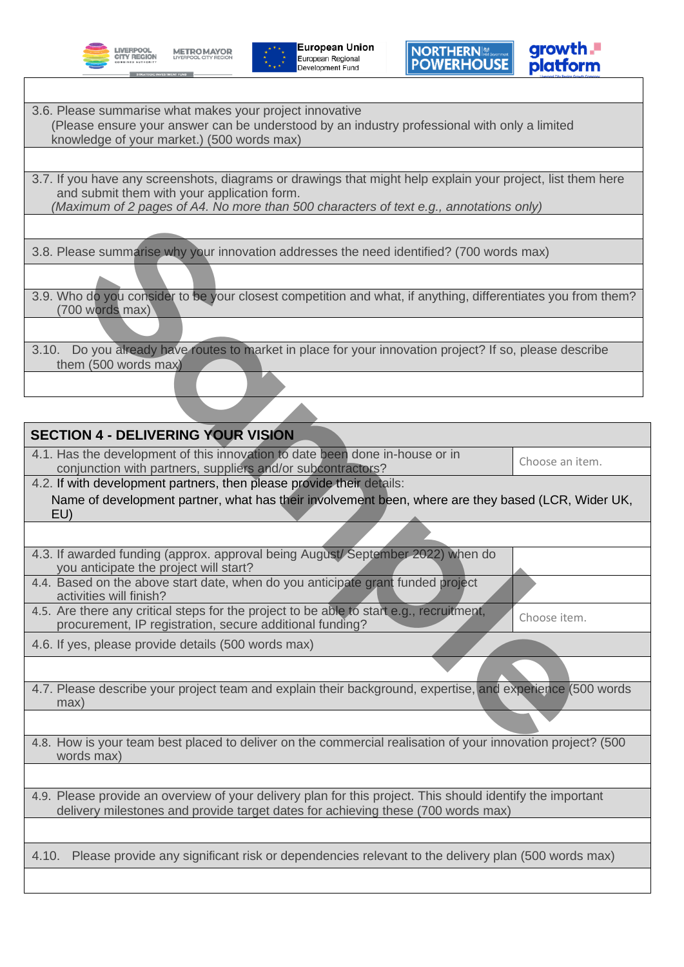**LIVERPOOL CITY REGION** 







- 3.6. Please summarise what makes your project innovative (Please ensure your answer can be understood by an industry professional with only a limited knowledge of your market.) (500 words max)
- 3.7. If you have any screenshots, diagrams or drawings that might help explain your project, list them here and submit them with your application form. *(Maximum of 2 pages of A4. No more than 500 characters of text e.g., annotations only)*
- 3.8. Please summarise why your innovation addresses the need identified? (700 words max)
- 3.9. Who do you consider to be your closest competition and what, if anything, differentiates you from them? (700 words max)
- 3.10. Do you already have routes to market in place for your innovation project? If so, please describe them (500 words max)

| 3.8. Please summarise why your innovation addresses the need identified? (700 words max)                                                                                                       |                 |
|------------------------------------------------------------------------------------------------------------------------------------------------------------------------------------------------|-----------------|
|                                                                                                                                                                                                |                 |
| 3.9. Who do you consider to be your closest competition and what, if anything, differentiates you from them?<br>(700 words max)                                                                |                 |
|                                                                                                                                                                                                |                 |
| Do you already have routes to market in place for your innovation project? If so, please describe<br>3.10.<br>them (500 words max)                                                             |                 |
|                                                                                                                                                                                                |                 |
|                                                                                                                                                                                                |                 |
| <b>SECTION 4 - DELIVERING YOUR VISION</b>                                                                                                                                                      |                 |
| 4.1. Has the development of this innovation to date been done in-house or in<br>conjunction with partners, suppliers and/or subcontractors?                                                    | Choose an item. |
| 4.2. If with development partners, then please provide their details:                                                                                                                          |                 |
| Name of development partner, what has their involvement been, where are they based (LCR, Wider UK,<br>EU)                                                                                      |                 |
|                                                                                                                                                                                                |                 |
| 4.3. If awarded funding (approx. approval being August/September 2022) when do<br>you anticipate the project will start?                                                                       |                 |
| 4.4. Based on the above start date, when do you anticipate grant funded project<br>activities will finish?                                                                                     |                 |
| 4.5. Are there any critical steps for the project to be able to start e.g., recruitment,<br>procurement, IP registration, secure additional funding?                                           | Choose item.    |
| 4.6. If yes, please provide details (500 words max)                                                                                                                                            |                 |
|                                                                                                                                                                                                |                 |
| 4.7. Please describe your project team and explain their background, expertise, and experience (500 words<br>max)                                                                              |                 |
|                                                                                                                                                                                                |                 |
| 4.8. How is your team best placed to deliver on the commercial realisation of your innovation project? (500<br>words max)                                                                      |                 |
|                                                                                                                                                                                                |                 |
| 4.9. Please provide an overview of your delivery plan for this project. This should identify the important<br>delivery milestones and provide target dates for achieving these (700 words max) |                 |
|                                                                                                                                                                                                |                 |
| Please provide any significant risk or dependencies relevant to the delivery plan (500 words max)<br>4.10.                                                                                     |                 |
|                                                                                                                                                                                                |                 |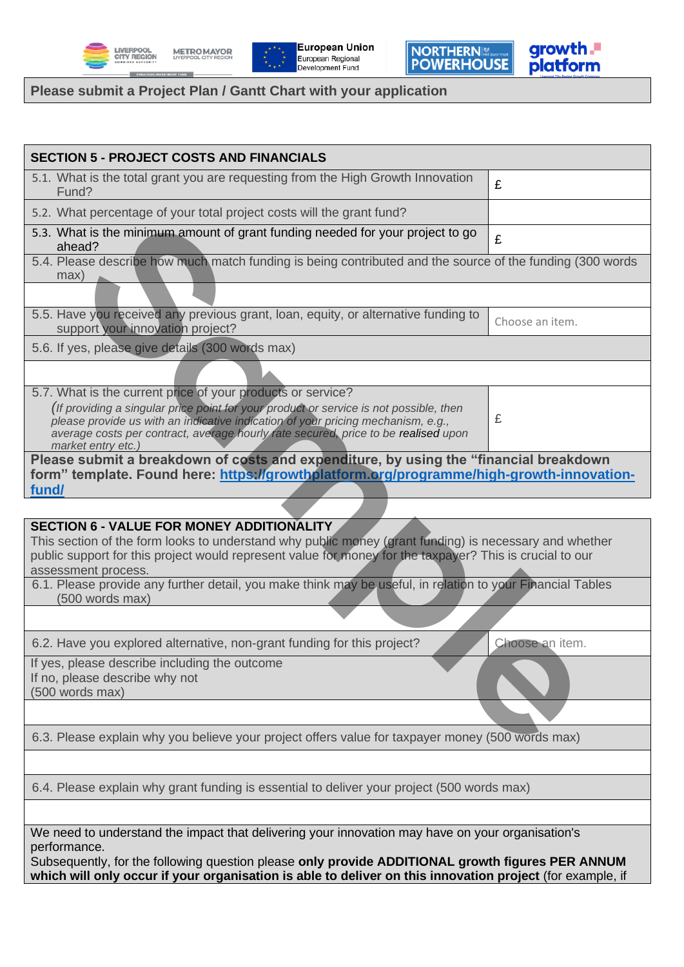

**METRO MAYOR**<br>LIVERPOOL CITY REGION

**C INVESTMENT FUNI** 



NORTHERNI

growth.<br>platform

## **Please submit a Project Plan / Gantt Chart with your application**

| <b>SECTION 5 - PROJECT COSTS AND FINANCIALS</b>                                                                                                                                                                                                                                                                                                       |                 |
|-------------------------------------------------------------------------------------------------------------------------------------------------------------------------------------------------------------------------------------------------------------------------------------------------------------------------------------------------------|-----------------|
| 5.1. What is the total grant you are requesting from the High Growth Innovation<br>Fund?                                                                                                                                                                                                                                                              | £               |
| 5.2. What percentage of your total project costs will the grant fund?                                                                                                                                                                                                                                                                                 |                 |
| 5.3. What is the minimum amount of grant funding needed for your project to go<br>ahead?                                                                                                                                                                                                                                                              | £               |
| 5.4. Please describe how much match funding is being contributed and the source of the funding (300 words<br>max)                                                                                                                                                                                                                                     |                 |
| 5.5. Have you received any previous grant, loan, equity, or alternative funding to<br>support your innovation project?                                                                                                                                                                                                                                | Choose an item. |
| 5.6. If yes, please give details (300 words max)                                                                                                                                                                                                                                                                                                      |                 |
|                                                                                                                                                                                                                                                                                                                                                       |                 |
| 5.7. What is the current price of your products or service?<br>(If providing a singular price point for your product or service is not possible, then<br>please provide us with an indicative indication of your pricing mechanism, e.g.,<br>average costs per contract, average hourly rate secured, price to be realised upon<br>market entry etc.) | £               |
| Please submit a breakdown of costs and expenditure, by using the "financial breakdown<br>form" template. Found here: https://growthplatform.org/programme/high-growth-innovation-<br>fund/                                                                                                                                                            |                 |
|                                                                                                                                                                                                                                                                                                                                                       |                 |
| <b>SECTION 6 - VALUE FOR MONEY ADDITIONALITY</b><br>This section of the form looks to understand why public money (grant funding) is necessary and whether<br>public support for this project would represent value for money for the taxpayer? This is crucial to our<br>assessment process.                                                         |                 |
| 6.1. Please provide any further detail, you make think may be useful, in relation to your Financial Tables<br>(500 words max)                                                                                                                                                                                                                         |                 |
|                                                                                                                                                                                                                                                                                                                                                       |                 |
| 6.2. Have you explored alternative, non-grant funding for this project?                                                                                                                                                                                                                                                                               | Choose an item. |
| If yes, please describe including the outcome<br>If no, please describe why not<br>(500 words max)                                                                                                                                                                                                                                                    |                 |
|                                                                                                                                                                                                                                                                                                                                                       |                 |
| 6.3. Please explain why you believe your project offers value for taxpayer money (500 words max)                                                                                                                                                                                                                                                      |                 |
|                                                                                                                                                                                                                                                                                                                                                       |                 |
| 6.4. Please explain why grant funding is essential to deliver your project (500 words max)                                                                                                                                                                                                                                                            |                 |
| We need to understand the impact that delivering your innovation may have on your organisation's<br>performance.<br>Subsequently, for the following question please only provide ADDITIONAL growth figures PER ANNUM<br>which will only occur if your organisation is able to deliver on this innovation project (for example, if                     |                 |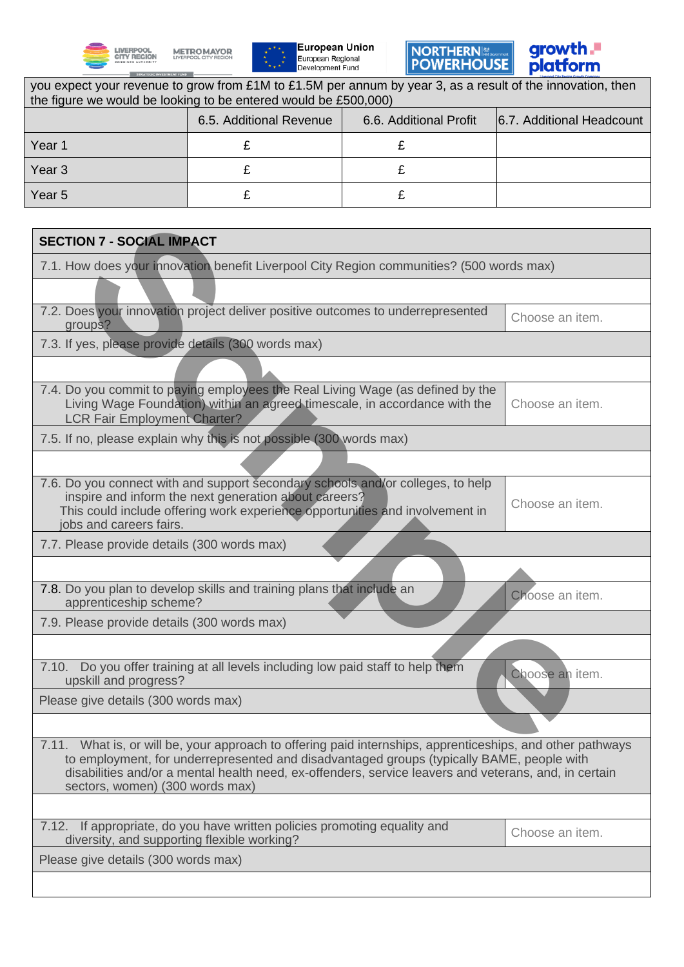







٦

| you expect your revenue to grow from £1M to £1.5M per annum by year 3, as a result of the innovation, then<br>the figure we would be looking to be entered would be £500,000) |                                                                                                                                                                                                                                                                                                                  |                        |                           |
|-------------------------------------------------------------------------------------------------------------------------------------------------------------------------------|------------------------------------------------------------------------------------------------------------------------------------------------------------------------------------------------------------------------------------------------------------------------------------------------------------------|------------------------|---------------------------|
|                                                                                                                                                                               | 6.5. Additional Revenue                                                                                                                                                                                                                                                                                          | 6.6. Additional Profit | 6.7. Additional Headcount |
| Year 1                                                                                                                                                                        | £                                                                                                                                                                                                                                                                                                                | £                      |                           |
| Year <sub>3</sub>                                                                                                                                                             | £                                                                                                                                                                                                                                                                                                                | £                      |                           |
| Year <sub>5</sub>                                                                                                                                                             | £                                                                                                                                                                                                                                                                                                                | £                      |                           |
|                                                                                                                                                                               |                                                                                                                                                                                                                                                                                                                  |                        |                           |
| <b>SECTION 7 - SOCIAL IMPACT</b>                                                                                                                                              |                                                                                                                                                                                                                                                                                                                  |                        |                           |
|                                                                                                                                                                               | 7.1. How does your innovation benefit Liverpool City Region communities? (500 words max)                                                                                                                                                                                                                         |                        |                           |
|                                                                                                                                                                               |                                                                                                                                                                                                                                                                                                                  |                        |                           |
| groups?                                                                                                                                                                       | 7.2. Does your innovation project deliver positive outcomes to underrepresented                                                                                                                                                                                                                                  |                        | Choose an item.           |
| 7.3. If yes, please provide details (300 words max)                                                                                                                           |                                                                                                                                                                                                                                                                                                                  |                        |                           |
|                                                                                                                                                                               |                                                                                                                                                                                                                                                                                                                  |                        |                           |
| <b>LCR Fair Employment Charter?</b>                                                                                                                                           | 7.4. Do you commit to paying employees the Real Living Wage (as defined by the<br>Living Wage Foundation) within an agreed timescale, in accordance with the                                                                                                                                                     |                        | Choose an item.           |
|                                                                                                                                                                               | 7.5. If no, please explain why this is not possible (300 words max)                                                                                                                                                                                                                                              |                        |                           |
|                                                                                                                                                                               |                                                                                                                                                                                                                                                                                                                  |                        |                           |
| jobs and careers fairs.                                                                                                                                                       | 7.6. Do you connect with and support secondary schools and/or colleges, to help<br>inspire and inform the next generation about careers?<br>This could include offering work experience opportunities and involvement in                                                                                         |                        | Choose an item.           |
| 7.7. Please provide details (300 words max)                                                                                                                                   |                                                                                                                                                                                                                                                                                                                  |                        |                           |
|                                                                                                                                                                               |                                                                                                                                                                                                                                                                                                                  |                        |                           |
| apprenticeship scheme?                                                                                                                                                        | 7.8. Do you plan to develop skills and training plans that include an                                                                                                                                                                                                                                            |                        | Choose an item.           |
| 7.9. Please provide details (300 words max)                                                                                                                                   |                                                                                                                                                                                                                                                                                                                  |                        |                           |
|                                                                                                                                                                               |                                                                                                                                                                                                                                                                                                                  |                        |                           |
| upskill and progress?                                                                                                                                                         | 7.10. Do you offer training at all levels including low paid staff to help them                                                                                                                                                                                                                                  |                        | Choose an item.           |
| Please give details (300 words max)                                                                                                                                           |                                                                                                                                                                                                                                                                                                                  |                        |                           |
|                                                                                                                                                                               |                                                                                                                                                                                                                                                                                                                  |                        |                           |
| sectors, women) (300 words max)                                                                                                                                               | 7.11. What is, or will be, your approach to offering paid internships, apprenticeships, and other pathways<br>to employment, for underrepresented and disadvantaged groups (typically BAME, people with<br>disabilities and/or a mental health need, ex-offenders, service leavers and veterans, and, in certain |                        |                           |
|                                                                                                                                                                               |                                                                                                                                                                                                                                                                                                                  |                        |                           |
| 7.12.<br>diversity, and supporting flexible working?                                                                                                                          | If appropriate, do you have written policies promoting equality and                                                                                                                                                                                                                                              |                        | Choose an item.           |
| Please give details (300 words max)                                                                                                                                           |                                                                                                                                                                                                                                                                                                                  |                        |                           |
|                                                                                                                                                                               |                                                                                                                                                                                                                                                                                                                  |                        |                           |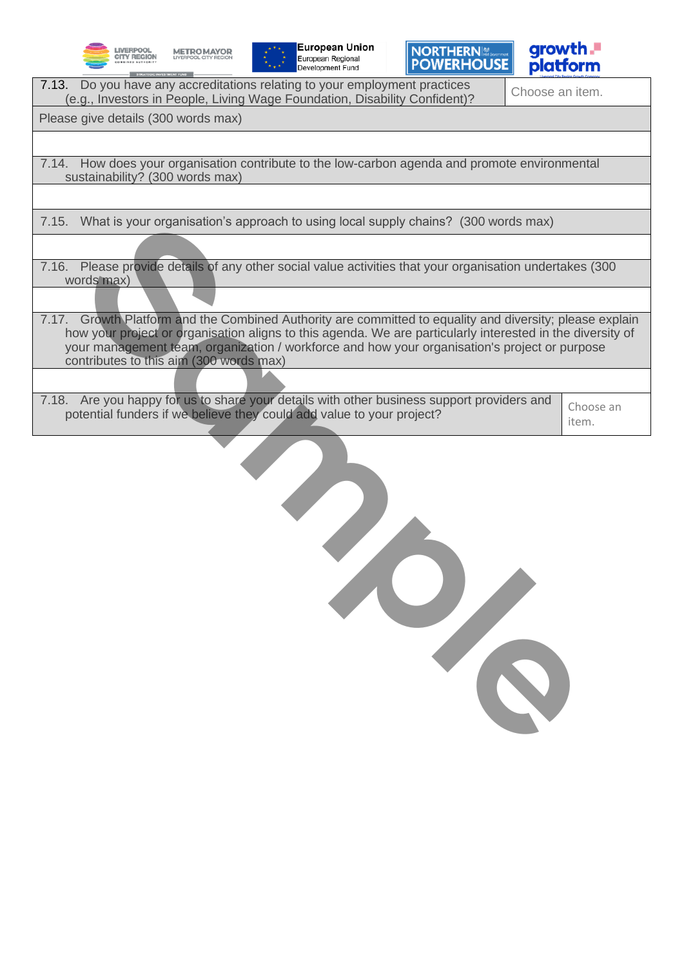







| 7.13. Do you have any accreditations relating to your employment practices<br>(e.g., Investors in People, Living Wage Foundation, Disability Confident)? | Choose an item. |
|----------------------------------------------------------------------------------------------------------------------------------------------------------|-----------------|
| $D1 - - -  L_1 - - - - -$                                                                                                                                |                 |

Please give details (300 words max)

7.14. How does your organisation contribute to the low-carbon agenda and promote environmental sustainability? (300 words max)

7.15. What is your organisation's approach to using local supply chains? (300 words max)

7.16. Please provide details of any other social value activities that your organisation undertakes (300 words max)

7.17. Growth Platform and the Combined Authority are committed to equality and diversity; please explain how your project or organisation aligns to this agenda. We are particularly interested in the diversity of your management team, organization / workforce and how your organisation's project or purpose contributes to this aim (300 words max)

7.18. Are you happy for us to share your details with other business support providers and  $P_{\text{p}}$ . Are you happy for us to share your details with other business support providers and  $\epsilon$  Choose an potential funders if we believe they could add value to your project?

item.

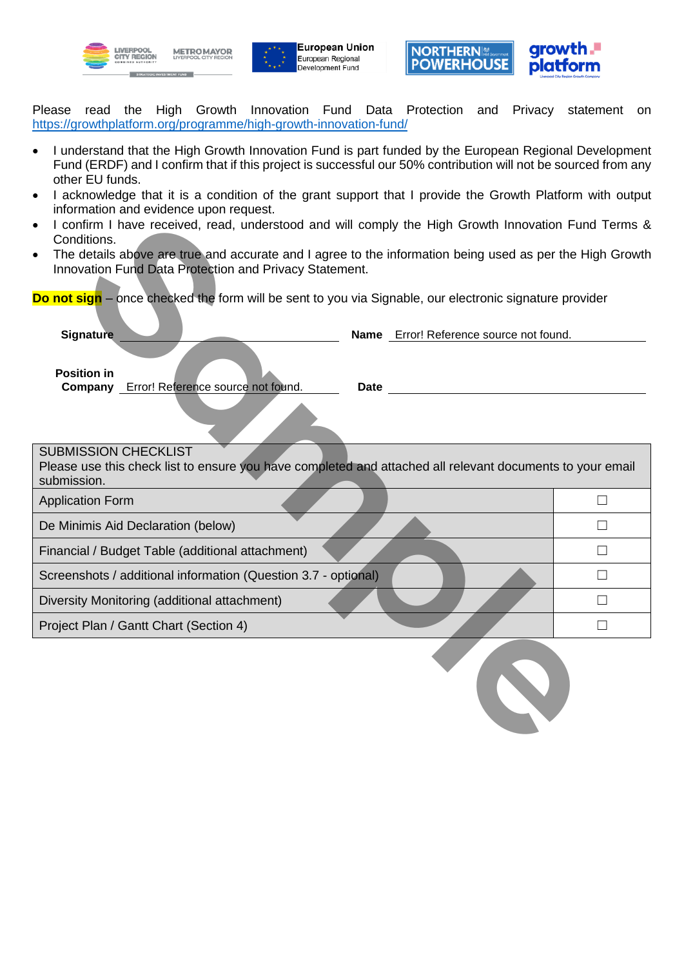





Please read the High Growth Innovation Fund Data Protection and Privacy statement on <https://growthplatform.org/programme/high-growth-innovation-fund/>

- I understand that the High Growth Innovation Fund is part funded by the European Regional Development Fund (ERDF) and I confirm that if this project is successful our 50% contribution will not be sourced from any other EU funds.
- I acknowledge that it is a condition of the grant support that I provide the Growth Platform with output information and evidence upon request.
- I confirm I have received, read, understood and will comply the High Growth Innovation Fund Terms & Conditions.
- The details above are true and accurate and I agree to the information being used as per the High Growth Innovation Fund Data Protection and Privacy Statement.

| I confirm I have received, read, understood and will comply the High Growth Innovation Fund Terms &<br>Conditions.       |                   |
|--------------------------------------------------------------------------------------------------------------------------|-------------------|
| The details above are true and accurate and I agree to the information being used as per the High Growth                 |                   |
| Innovation Fund Data Protection and Privacy Statement.                                                                   |                   |
| <b>Do not sign</b> – once checked the form will be sent to you via Signable, our electronic signature provider           |                   |
|                                                                                                                          |                   |
| <b>Signature</b><br>Name Error! Reference source not found.                                                              |                   |
|                                                                                                                          |                   |
| <b>Position in</b>                                                                                                       |                   |
| <b>Company</b> Error! Reference source not found.<br>Date                                                                |                   |
|                                                                                                                          |                   |
|                                                                                                                          |                   |
| <b>SUBMISSION CHECKLIST</b>                                                                                              |                   |
| Please use this check list to ensure you have completed and attached all relevant documents to your email<br>submission. |                   |
| <b>Application Form</b>                                                                                                  | $\Box$            |
|                                                                                                                          |                   |
| De Minimis Aid Declaration (below)                                                                                       | П                 |
| Financial / Budget Table (additional attachment)                                                                         | П                 |
| Screenshots / additional information (Question 3.7 - optional)                                                           | $\vert \ \ \vert$ |
| Diversity Monitoring (additional attachment)                                                                             | П                 |
| Project Plan / Gantt Chart (Section 4)                                                                                   | П                 |
|                                                                                                                          |                   |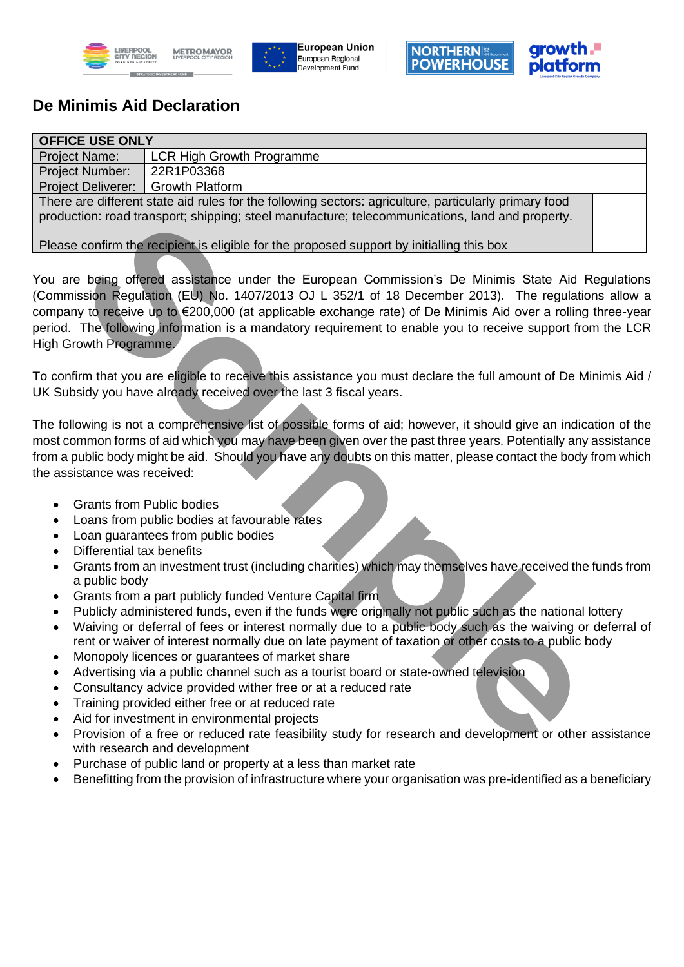







## **De Minimis Aid Declaration**

| <b>OFFICE USE ONLY</b>                                                                                |                                  |  |
|-------------------------------------------------------------------------------------------------------|----------------------------------|--|
| <b>Project Name:</b>                                                                                  | <b>LCR High Growth Programme</b> |  |
| <b>Project Number:</b>                                                                                | 22R1P03368                       |  |
| <b>Project Deliverer:</b>                                                                             | <b>Growth Platform</b>           |  |
| There are different state aid rules for the following sectors: agriculture, particularly primary food |                                  |  |
| production: road transport; shipping; steel manufacture; telecommunications, land and property.       |                                  |  |
|                                                                                                       |                                  |  |
| Please confirm the recipient is eligible for the proposed support by initialling this box             |                                  |  |

You are being offered assistance under the European Commission's De Minimis State Aid Regulations (Commission Regulation (EU) No. 1407/2013 OJ L 352/1 of 18 December 2013). The regulations allow a company to receive up to €200,000 (at applicable exchange rate) of De Minimis Aid over a rolling three-year period. The following information is a mandatory requirement to enable you to receive support from the LCR High Growth Programme. ction: road transport, shipping, steel manufacture; telecommunications, land and property.<br>
sconfirm the receptent is eligible for the proposed support by initialling this box<br>
Le being offered assistance under the Europea

To confirm that you are eligible to receive this assistance you must declare the full amount of De Minimis Aid / UK Subsidy you have already received over the last 3 fiscal years.

The following is not a comprehensive list of possible forms of aid; however, it should give an indication of the most common forms of aid which you may have been given over the past three years. Potentially any assistance from a public body might be aid. Should you have any doubts on this matter, please contact the body from which the assistance was received:

- Grants from Public bodies
- Loans from public bodies at favourable rates
- Loan guarantees from public bodies
- Differential tax benefits
- Grants from an investment trust (including charities) which may themselves have received the funds from a public body
- Grants from a part publicly funded Venture Capital firm
- Publicly administered funds, even if the funds were originally not public such as the national lottery
- Waiving or deferral of fees or interest normally due to a public body such as the waiving or deferral of rent or waiver of interest normally due on late payment of taxation or other costs to a public body
- Monopoly licences or guarantees of market share
- Advertising via a public channel such as a tourist board or state-owned television
- Consultancy advice provided wither free or at a reduced rate
- Training provided either free or at reduced rate
- Aid for investment in environmental projects
- Provision of a free or reduced rate feasibility study for research and development or other assistance with research and development
- Purchase of public land or property at a less than market rate
- Benefitting from the provision of infrastructure where your organisation was pre-identified as a beneficiary